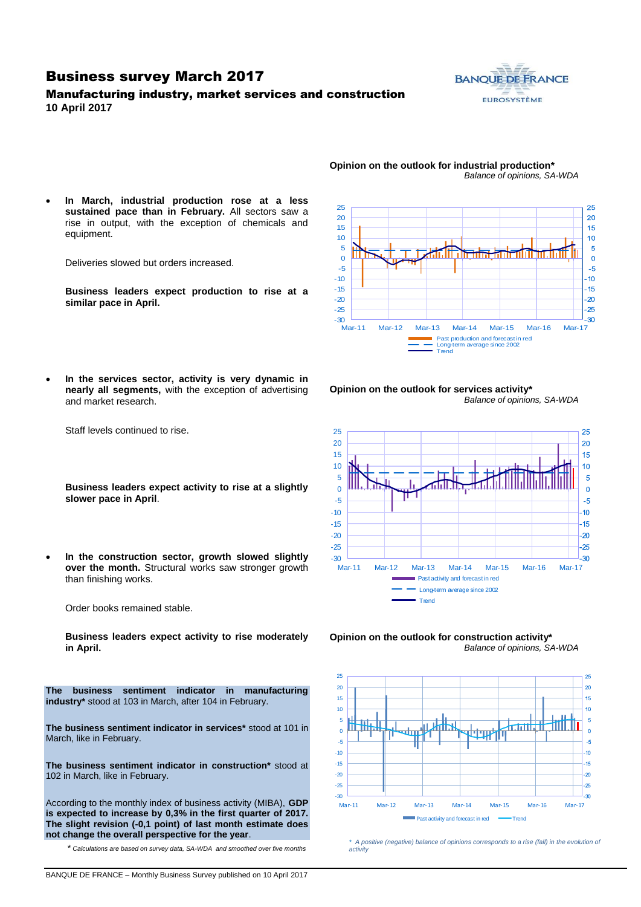### Business survey March 2017

### Manufacturing industry, market services and construction **10 April 2017**





- **Opinion on the outlook for industrial production\*** *Balance of opinions, SA-WDA*
- **In March, industrial production rose at a less sustained pace than in February.** All sectors saw a rise in output, with the exception of chemicals and equipment.

Deliveries slowed but orders increased.

**Business leaders expect production to rise at a similar pace in April.**

 **In the services sector, activity is very dynamic in nearly all segments,** with the exception of advertising and market research.







Order books remained stable.

Staff levels continued to rise.

**slower pace in April**.

than finishing works.

**Business leaders expect activity to rise moderately in April.**

**The business sentiment indicator in manufacturing industry\*** stood at 103 in March, after 104 in February.

**The business sentiment indicator in services\*** stood at 101 in March, like in February.

**The business sentiment indicator in construction\*** stood at 102 in March, like in February.

According to the monthly index of business activity (MIBA), **GDP is expected to increase by 0,3% in the first quarter of 2017. The slight revision (-0,1 point) of last month estimate does not change the overall perspective for the year**.

\* *Calculations are based on survey data, SA-WDA and smoothed over five months*

**Opinion on the outlook for construction activity\*** *Balance of opinions, SA-WDA*



*\* A positive (negative) balance of opinions corresponds to a rise (fall) in the evolution of activity*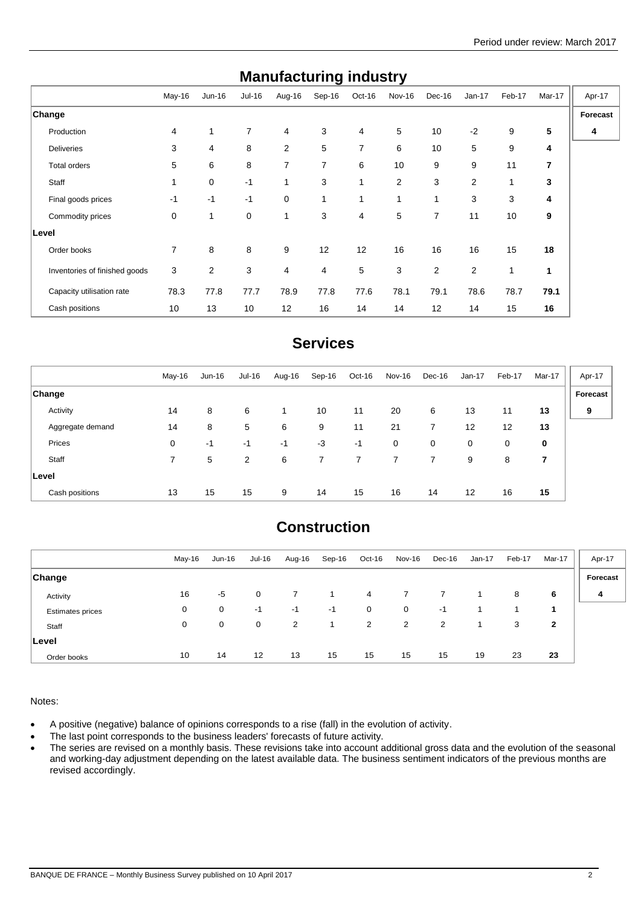| Manulacturing muusti y        |                |                |                |                |              |                |                |                |          |        |        |          |
|-------------------------------|----------------|----------------|----------------|----------------|--------------|----------------|----------------|----------------|----------|--------|--------|----------|
|                               | May-16         | $Jun-16$       | Jul-16         | Aug-16         | Sep-16       | Oct-16         | Nov-16         | Dec-16         | $Jan-17$ | Feb-17 | Mar-17 | Apr-17   |
| <b>Change</b>                 |                |                |                |                |              |                |                |                |          |        |        | Forecast |
| Production                    | 4              | $\mathbf{1}$   | $\overline{7}$ | $\overline{4}$ | 3            | $\overline{4}$ | 5              | 10             | $-2$     | 9      | 5      | 4        |
| <b>Deliveries</b>             | 3              | 4              | 8              | $\overline{2}$ | 5            | $\overline{7}$ | 6              | 10             | 5        | 9      | 4      |          |
| Total orders                  | 5              | 6              | 8              | 7              | 7            | 6              | 10             | 9              | 9        | 11     | 7      |          |
| Staff                         | 1              | 0              | $-1$           | 1              | 3            | 1              | $\overline{2}$ | 3              | 2        | 1      | 3      |          |
| Final goods prices            | $-1$           | $-1$           | $-1$           | 0              | $\mathbf{1}$ | 1              | 1              | 1              | 3        | 3      | 4      |          |
| Commodity prices              | 0              | 1              | 0              | $\mathbf{1}$   | 3            | 4              | 5              | 7              | 11       | 10     | 9      |          |
| Level                         |                |                |                |                |              |                |                |                |          |        |        |          |
| Order books                   | $\overline{7}$ | 8              | 8              | 9              | 12           | 12             | 16             | 16             | 16       | 15     | 18     |          |
| Inventories of finished goods | 3              | $\overline{2}$ | 3              | 4              | 4            | 5              | 3              | $\overline{2}$ | 2        | 1      | 1      |          |
| Capacity utilisation rate     | 78.3           | 77.8           | 77.7           | 78.9           | 77.8         | 77.6           | 78.1           | 79.1           | 78.6     | 78.7   | 79.1   |          |
| Cash positions                | 10             | 13             | 10             | 12             | 16           | 14             | 14             | 12             | 14       | 15     | 16     |          |

## **Manufacturing industry**

## **Services**

|                  | May-16 | $Jun-16$ | Jul-16 | Aug-16 | Sep-16         | Oct-16 | Nov-16      | Dec-16 | Jan-17 | Feb-17 | Mar-17      | Apr-17   |
|------------------|--------|----------|--------|--------|----------------|--------|-------------|--------|--------|--------|-------------|----------|
| <b>Change</b>    |        |          |        |        |                |        |             |        |        |        |             | Forecast |
| Activity         | 14     | 8        | 6      |        | 10             | 11     | 20          | 6      | 13     | 11     | 13          | 9        |
| Aggregate demand | 14     | 8        | 5      | 6      | 9              | 11     | 21          | 7      | 12     | 12     | 13          |          |
| Prices           | 0      | -1       | -1     | $-1$   | $-3$           | $-1$   | $\mathbf 0$ | 0      | 0      | 0      | $\mathbf 0$ |          |
| Staff            | 7      | 5        | 2      | 6      | $\overline{7}$ | 7      | 7           | 7      | 9      | 8      | 7           |          |
| ∣Level           |        |          |        |        |                |        |             |        |        |        |             |          |
| Cash positions   | 13     | 15       | 15     | 9      | 14             | 15     | 16          | 14     | 12     | 16     | 15          |          |

# **Construction**

|                         | May-16 | Jun-16 | <b>Jul-16</b> | Aug-16 | Sep-16 | Oct-16 | Nov-16 | Dec-16 | Jan-17 | Feb-17 | Mar-17 | Apr-17   |
|-------------------------|--------|--------|---------------|--------|--------|--------|--------|--------|--------|--------|--------|----------|
| <b>Change</b>           |        |        |               |        |        |        |        |        |        |        |        | Forecast |
| Activity                | 16     | $-5$   | 0             |        |        | 4      |        |        |        | 8      | 6      | 4        |
| <b>Estimates prices</b> | 0      | 0      | -1            | -1     | $-1$   | 0      | 0      | -1     |        |        |        |          |
| Staff                   | 0      | 0      | $\mathbf 0$   | 2      | 1      | 2      | 2      | 2      |        | 3      | 2      |          |
| Level                   |        |        |               |        |        |        |        |        |        |        |        |          |
| Order books             | 10     | 14     | 12            | 13     | 15     | 15     | 15     | 15     | 19     | 23     | 23     |          |

Notes:

A positive (negative) balance of opinions corresponds to a rise (fall) in the evolution of activity.

• The last point corresponds to the business leaders' forecasts of future activity.

• The series are revised on a monthly basis. These revisions take into account additional gross data and the evolution of the seasonal and working-day adjustment depending on the latest available data. The business sentiment indicators of the previous months are revised accordingly.